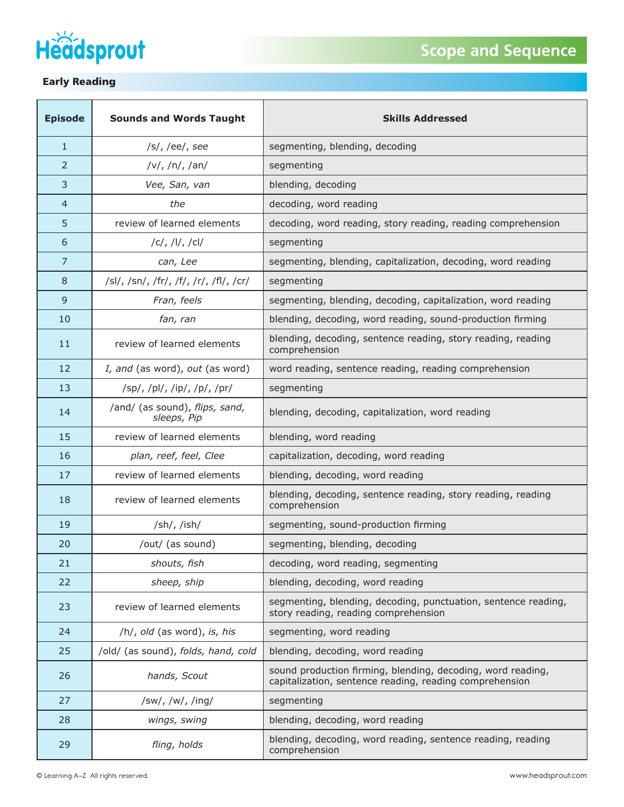



| <b>Episode</b> | <b>Sounds and Words Taught</b>                | <b>Skills Addressed</b>                                                                                                |
|----------------|-----------------------------------------------|------------------------------------------------------------------------------------------------------------------------|
| $\mathbf{1}$   | /s/, /ee/, see                                | segmenting, blending, decoding                                                                                         |
| $\overline{2}$ | v ,  n ,  an                                  | segmenting                                                                                                             |
| 3              | Vee, San, van                                 | blending, decoding                                                                                                     |
| 4              | the                                           | decoding, word reading                                                                                                 |
| 5              | review of learned elements                    | decoding, word reading, story reading, reading comprehension                                                           |
| 6              | C ,  I ,  C                                   | segmenting                                                                                                             |
| $\overline{7}$ | can, Lee                                      | segmenting, blending, capitalization, decoding, word reading                                                           |
| 8              | /sl/, /sn/, /fr/, /f/, /r/, /fl/, /cr/        | segmenting                                                                                                             |
| 9              | Fran, feels                                   | segmenting, blending, decoding, capitalization, word reading                                                           |
| 10             | fan, ran                                      | blending, decoding, word reading, sound-production firming                                                             |
| 11             | review of learned elements                    | blending, decoding, sentence reading, story reading, reading<br>comprehension                                          |
| 12             | I, and (as word), out (as word)               | word reading, sentence reading, reading comprehension                                                                  |
| 13             | /sp/, /pl/, /ip/, /p/, /pr/                   | segmenting                                                                                                             |
| 14             | /and/ (as sound), flips, sand,<br>sleeps, Pip | blending, decoding, capitalization, word reading                                                                       |
| 15             | review of learned elements                    | blending, word reading                                                                                                 |
| 16             | plan, reef, feel, Clee                        | capitalization, decoding, word reading                                                                                 |
| 17             | review of learned elements                    | blending, decoding, word reading                                                                                       |
| 18             | review of learned elements                    | blending, decoding, sentence reading, story reading, reading<br>comprehension                                          |
| 19             | /sh/, /ish/                                   | segmenting, sound-production firming                                                                                   |
| 20             | /out/ (as sound)                              | segmenting, blending, decoding                                                                                         |
| 21             | shouts, fish                                  | decoding, word reading, segmenting                                                                                     |
| 22             | sheep, ship                                   | blending, decoding, word reading                                                                                       |
| 23             | review of learned elements                    | segmenting, blending, decoding, punctuation, sentence reading,<br>story reading, reading comprehension                 |
| 24             | /h/, old (as word), is, his                   | segmenting, word reading                                                                                               |
| 25             | /old/ (as sound), folds, hand, cold           | blending, decoding, word reading                                                                                       |
| 26             | hands, Scout                                  | sound production firming, blending, decoding, word reading,<br>capitalization, sentence reading, reading comprehension |
| 27             | /sw/, /w/, /ing/                              | segmenting                                                                                                             |
| 28             | wings, swing                                  | blending, decoding, word reading                                                                                       |
| 29             | fling, holds                                  | blending, decoding, word reading, sentence reading, reading<br>comprehension                                           |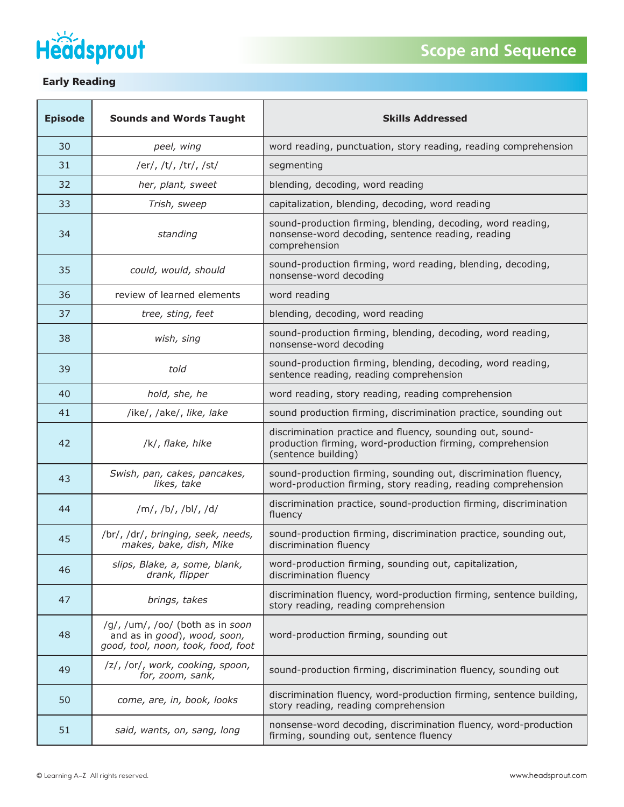



| <b>Episode</b> | <b>Sounds and Words Taught</b>                                                                         | <b>Skills Addressed</b>                                                                                                                        |
|----------------|--------------------------------------------------------------------------------------------------------|------------------------------------------------------------------------------------------------------------------------------------------------|
| 30             | peel, wing                                                                                             | word reading, punctuation, story reading, reading comprehension                                                                                |
| 31             | /er/, /t/, /tr/, /st/                                                                                  | segmenting                                                                                                                                     |
| 32             | her, plant, sweet                                                                                      | blending, decoding, word reading                                                                                                               |
| 33             | Trish, sweep                                                                                           | capitalization, blending, decoding, word reading                                                                                               |
| 34             | standing                                                                                               | sound-production firming, blending, decoding, word reading,<br>nonsense-word decoding, sentence reading, reading<br>comprehension              |
| 35             | could, would, should                                                                                   | sound-production firming, word reading, blending, decoding,<br>nonsense-word decoding                                                          |
| 36             | review of learned elements                                                                             | word reading                                                                                                                                   |
| 37             | tree, sting, feet                                                                                      | blending, decoding, word reading                                                                                                               |
| 38             | wish, sing                                                                                             | sound-production firming, blending, decoding, word reading,<br>nonsense-word decoding                                                          |
| 39             | told                                                                                                   | sound-production firming, blending, decoding, word reading,<br>sentence reading, reading comprehension                                         |
| 40             | hold, she, he                                                                                          | word reading, story reading, reading comprehension                                                                                             |
| 41             | /ike/, /ake/, like, lake                                                                               | sound production firming, discrimination practice, sounding out                                                                                |
| 42             | /k/, flake, hike                                                                                       | discrimination practice and fluency, sounding out, sound-<br>production firming, word-production firming, comprehension<br>(sentence building) |
| 43             | Swish, pan, cakes, pancakes,<br>likes, take                                                            | sound-production firming, sounding out, discrimination fluency,<br>word-production firming, story reading, reading comprehension               |
| 44             | /m/, /b/, /bl/, /d/                                                                                    | discrimination practice, sound-production firming, discrimination<br>fluency                                                                   |
| 45             | /br/, /dr/, bringing, seek, needs,<br>makes, bake, dish, Mike                                          | sound-production firming, discrimination practice, sounding out,<br>discrimination fluency                                                     |
| 46             | slips, Blake, a, some, blank,<br>drank, flipper                                                        | word-production firming, sounding out, capitalization,<br>discrimination fluency                                                               |
| 47             | brings, takes                                                                                          | discrimination fluency, word-production firming, sentence building,<br>story reading, reading comprehension                                    |
| 48             | /g/, /um/, /oo/ (both as in soon<br>and as in good), wood, soon,<br>good, tool, noon, took, food, foot | word-production firming, sounding out                                                                                                          |
| 49             | /z/, /or/, work, cooking, spoon,<br>for, zoom, sank,                                                   | sound-production firming, discrimination fluency, sounding out                                                                                 |
| 50             | come, are, in, book, looks                                                                             | discrimination fluency, word-production firming, sentence building,<br>story reading, reading comprehension                                    |
| 51             | said, wants, on, sang, long                                                                            | nonsense-word decoding, discrimination fluency, word-production<br>firming, sounding out, sentence fluency                                     |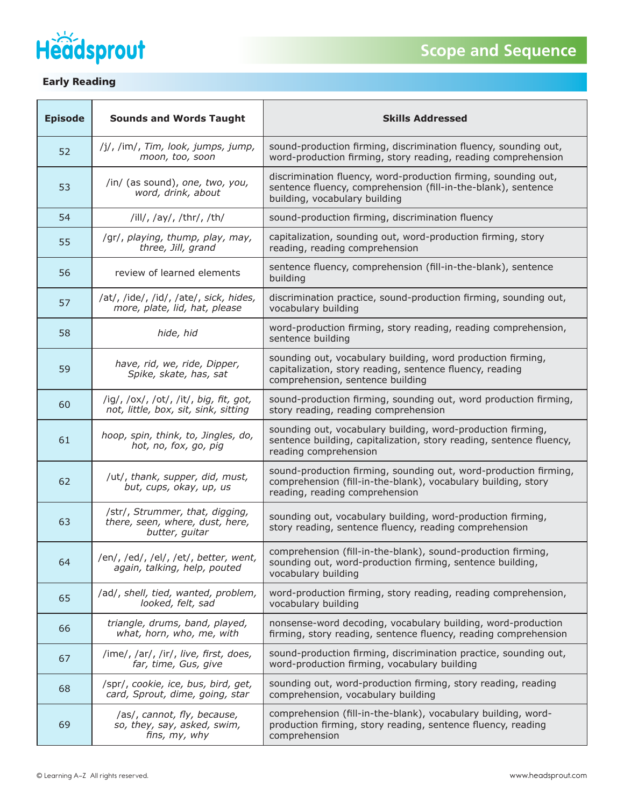



| <b>Episode</b> | <b>Sounds and Words Taught</b>                                                       | <b>Skills Addressed</b>                                                                                                                                             |
|----------------|--------------------------------------------------------------------------------------|---------------------------------------------------------------------------------------------------------------------------------------------------------------------|
| 52             | /j/, /im/, Tim, look, jumps, jump,<br>moon, too, soon                                | sound-production firming, discrimination fluency, sounding out,<br>word-production firming, story reading, reading comprehension                                    |
| 53             | /in/ (as sound), one, two, you,<br>word, drink, about                                | discrimination fluency, word-production firming, sounding out,<br>sentence fluency, comprehension (fill-in-the-blank), sentence<br>building, vocabulary building    |
| 54             | /ill/, /ay/, /thr/, /th/                                                             | sound-production firming, discrimination fluency                                                                                                                    |
| 55             | /gr/, playing, thump, play, may,<br>three, Jill, grand                               | capitalization, sounding out, word-production firming, story<br>reading, reading comprehension                                                                      |
| 56             | review of learned elements                                                           | sentence fluency, comprehension (fill-in-the-blank), sentence<br>building                                                                                           |
| 57             | /at/, /ide/, /id/, /ate/, sick, hides,<br>more, plate, lid, hat, please              | discrimination practice, sound-production firming, sounding out,<br>vocabulary building                                                                             |
| 58             | hide, hid                                                                            | word-production firming, story reading, reading comprehension,<br>sentence building                                                                                 |
| 59             | have, rid, we, ride, Dipper,<br>Spike, skate, has, sat                               | sounding out, vocabulary building, word production firming,<br>capitalization, story reading, sentence fluency, reading<br>comprehension, sentence building         |
| 60             | /ig/, /ox/, /ot/, /it/, big, fit, got,<br>not, little, box, sit, sink, sitting       | sound-production firming, sounding out, word production firming,<br>story reading, reading comprehension                                                            |
| 61             | hoop, spin, think, to, Jingles, do,<br>hot, no, fox, go, pig                         | sounding out, vocabulary building, word-production firming,<br>sentence building, capitalization, story reading, sentence fluency,<br>reading comprehension         |
| 62             | /ut/, thank, supper, did, must,<br>but, cups, okay, up, us                           | sound-production firming, sounding out, word-production firming,<br>comprehension (fill-in-the-blank), vocabulary building, story<br>reading, reading comprehension |
| 63             | /str/, Strummer, that, digging,<br>there, seen, where, dust, here,<br>butter, guitar | sounding out, vocabulary building, word-production firming,<br>story reading, sentence fluency, reading comprehension                                               |
| 64             | /en/, /ed/, /el/, /et/, better, went,<br>again, talking, help, pouted                | comprehension (fill-in-the-blank), sound-production firming,<br>sounding out, word-production firming, sentence building,<br>vocabulary building                    |
| 65             | /ad/, shell, tied, wanted, problem,<br>looked, felt, sad                             | word-production firming, story reading, reading comprehension,<br>vocabulary building                                                                               |
| 66             | triangle, drums, band, played,<br>what, horn, who, me, with                          | nonsense-word decoding, vocabulary building, word-production<br>firming, story reading, sentence fluency, reading comprehension                                     |
| 67             | /ime/, /ar/, /ir/, live, first, does,<br>far, time, Gus, give                        | sound-production firming, discrimination practice, sounding out,<br>word-production firming, vocabulary building                                                    |
| 68             | /spr/, cookie, ice, bus, bird, get,<br>card, Sprout, dime, going, star               | sounding out, word-production firming, story reading, reading<br>comprehension, vocabulary building                                                                 |
| 69             | /as/, cannot, fly, because,<br>so, they, say, asked, swim,<br>fins, my, why          | comprehension (fill-in-the-blank), vocabulary building, word-<br>production firming, story reading, sentence fluency, reading<br>comprehension                      |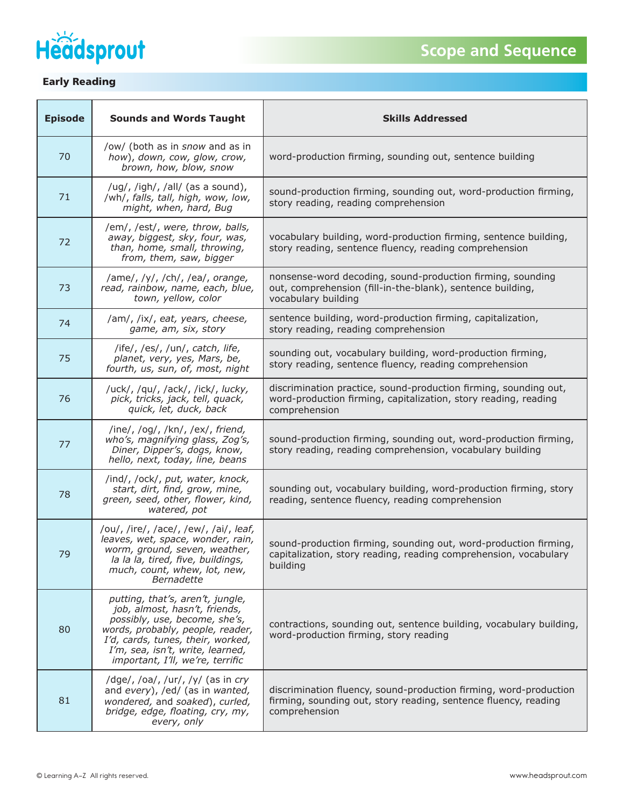

| <b>Episode</b> | <b>Sounds and Words Taught</b>                                                                                                                                                                                                                      | <b>Skills Addressed</b>                                                                                                                               |
|----------------|-----------------------------------------------------------------------------------------------------------------------------------------------------------------------------------------------------------------------------------------------------|-------------------------------------------------------------------------------------------------------------------------------------------------------|
| 70             | /ow/ (both as in snow and as in<br>how), down, cow, glow, crow,<br>brown, how, blow, snow                                                                                                                                                           | word-production firming, sounding out, sentence building                                                                                              |
| 71             | /ug/, /igh/, /all/ (as a sound),<br>/wh/, falls, tall, high, wow, low,<br>might, when, hard, Bug                                                                                                                                                    | sound-production firming, sounding out, word-production firming,<br>story reading, reading comprehension                                              |
| 72             | /em/, /est/, were, throw, balls,<br>away, biggest, sky, four, was,<br>than, home, small, throwing,<br>from, them, saw, bigger                                                                                                                       | vocabulary building, word-production firming, sentence building,<br>story reading, sentence fluency, reading comprehension                            |
| 73             | /ame/, /y/, /ch/, /ea/, orange,<br>read, rainbow, name, each, blue,<br>town, yellow, color                                                                                                                                                          | nonsense-word decoding, sound-production firming, sounding<br>out, comprehension (fill-in-the-blank), sentence building,<br>vocabulary building       |
| 74             | /am/, /ix/, eat, years, cheese,<br>game, am, six, story                                                                                                                                                                                             | sentence building, word-production firming, capitalization,<br>story reading, reading comprehension                                                   |
| 75             | /ife/, /es/, /un/, catch, life,<br>planet, very, yes, Mars, be,<br>fourth, us, sun, of, most, night                                                                                                                                                 | sounding out, vocabulary building, word-production firming,<br>story reading, sentence fluency, reading comprehension                                 |
| 76             | /uck/, /qu/, /ack/, /ick/, lucky,<br>pick, tricks, jack, tell, quack,<br>quick, let, duck, back                                                                                                                                                     | discrimination practice, sound-production firming, sounding out,<br>word-production firming, capitalization, story reading, reading<br>comprehension  |
| 77             | /ine/, /og/, /kn/, /ex/, friend,<br>who's, magnifying glass, Zog's,<br>Diner, Dipper's, dogs, know,<br>hello, next, today, line, beans                                                                                                              | sound-production firming, sounding out, word-production firming,<br>story reading, reading comprehension, vocabulary building                         |
| 78             | /ind/, /ock/, put, water, knock,<br>start, dirt, find, grow, mine,<br>green, seed, other, flower, kind,<br>watered, pot                                                                                                                             | sounding out, vocabulary building, word-production firming, story<br>reading, sentence fluency, reading comprehension                                 |
| 79             | /ou/, /ire/, /ace/, /ew/, /ai/, leaf,<br>leaves, wet, space, wonder, rain,<br>worm, ground, seven, weather,<br>la la la, tired, five, buildings,<br>much, count, whew, lot, new,<br>Bernadette                                                      | sound-production firming, sounding out, word-production firming,<br>capitalization, story reading, reading comprehension, vocabulary<br>building      |
| 80             | putting, that's, aren't, jungle,<br>job, almost, hasn't, friends,<br>possibly, use, become, she's,<br>words, probably, people, reader,<br>I'd, cards, tunes, their, worked,<br>I'm, sea, isn't, write, learned,<br>important, I'll, we're, terrific | contractions, sounding out, sentence building, vocabulary building,<br>word-production firming, story reading                                         |
| 81             | /dge/, /oa/, /ur/, /y/ (as in cry<br>and every), /ed/ (as in wanted,<br>wondered, and soaked), curled,<br>bridge, edge, floating, cry, my,<br>every, only                                                                                           | discrimination fluency, sound-production firming, word-production<br>firming, sounding out, story reading, sentence fluency, reading<br>comprehension |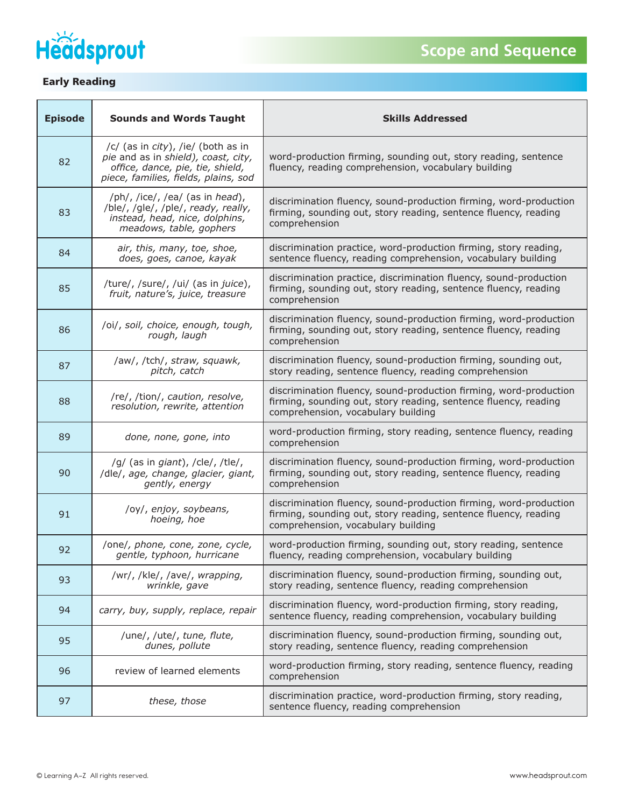

| <b>Episode</b> | <b>Sounds and Words Taught</b>                                                                                                                        | <b>Skills Addressed</b>                                                                                                                                                    |
|----------------|-------------------------------------------------------------------------------------------------------------------------------------------------------|----------------------------------------------------------------------------------------------------------------------------------------------------------------------------|
| 82             | /c/ (as in city), /ie/ (both as in<br>pie and as in shield), coast, city,<br>office, dance, pie, tie, shield,<br>piece, families, fields, plains, sod | word-production firming, sounding out, story reading, sentence<br>fluency, reading comprehension, vocabulary building                                                      |
| 83             | /ph/, /ice/, /ea/ (as in head),<br>/ble/, /gle/, /ple/, ready, really,<br>instead, head, nice, dolphins,<br>meadows, table, gophers                   | discrimination fluency, sound-production firming, word-production<br>firming, sounding out, story reading, sentence fluency, reading<br>comprehension                      |
| 84             | air, this, many, toe, shoe,<br>does, goes, canoe, kayak                                                                                               | discrimination practice, word-production firming, story reading,<br>sentence fluency, reading comprehension, vocabulary building                                           |
| 85             | /ture/, /sure/, /ui/ (as in juice),<br>fruit, nature's, juice, treasure                                                                               | discrimination practice, discrimination fluency, sound-production<br>firming, sounding out, story reading, sentence fluency, reading<br>comprehension                      |
| 86             | /oi/, soil, choice, enough, tough,<br>rough, laugh                                                                                                    | discrimination fluency, sound-production firming, word-production<br>firming, sounding out, story reading, sentence fluency, reading<br>comprehension                      |
| 87             | /aw/, /tch/, straw, squawk,<br>pitch, catch                                                                                                           | discrimination fluency, sound-production firming, sounding out,<br>story reading, sentence fluency, reading comprehension                                                  |
| 88             | /re/, /tion/, caution, resolve,<br>resolution, rewrite, attention                                                                                     | discrimination fluency, sound-production firming, word-production<br>firming, sounding out, story reading, sentence fluency, reading<br>comprehension, vocabulary building |
| 89             | done, none, gone, into                                                                                                                                | word-production firming, story reading, sentence fluency, reading<br>comprehension                                                                                         |
| 90             | /g/ (as in giant), /cle/, /tle/,<br>/dle/, age, change, glacier, giant,<br>gently, energy                                                             | discrimination fluency, sound-production firming, word-production<br>firming, sounding out, story reading, sentence fluency, reading<br>comprehension                      |
| 91             | /oy/, enjoy, soybeans,<br>hoeing, hoe                                                                                                                 | discrimination fluency, sound-production firming, word-production<br>firming, sounding out, story reading, sentence fluency, reading<br>comprehension, vocabulary building |
| 92             | /one/, phone, cone, zone, cycle,<br>gentle, typhoon, hurricane                                                                                        | word-production firming, sounding out, story reading, sentence<br>fluency, reading comprehension, vocabulary building                                                      |
| 93             | /wr/, /kle/, /ave/, wrapping,<br>wrinkle, gave                                                                                                        | discrimination fluency, sound-production firming, sounding out,<br>story reading, sentence fluency, reading comprehension                                                  |
| 94             | carry, buy, supply, replace, repair                                                                                                                   | discrimination fluency, word-production firming, story reading,<br>sentence fluency, reading comprehension, vocabulary building                                            |
| 95             | /une/, /ute/, tune, flute,<br>dunes, pollute                                                                                                          | discrimination fluency, sound-production firming, sounding out,<br>story reading, sentence fluency, reading comprehension                                                  |
| 96             | review of learned elements                                                                                                                            | word-production firming, story reading, sentence fluency, reading<br>comprehension                                                                                         |
| 97             | these, those                                                                                                                                          | discrimination practice, word-production firming, story reading,<br>sentence fluency, reading comprehension                                                                |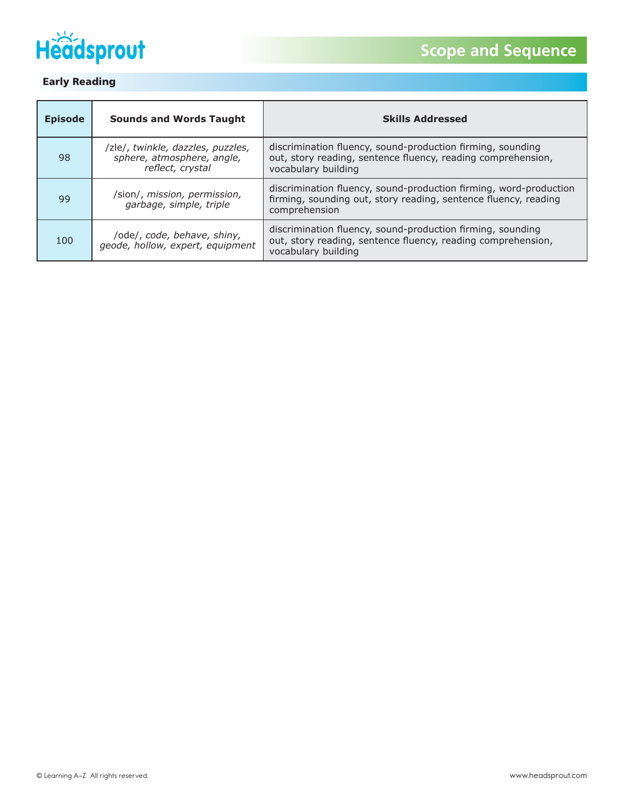

| <b>Episode</b> | <b>Sounds and Words Taught</b>                                                      | <b>Skills Addressed</b>                                                                                                                               |
|----------------|-------------------------------------------------------------------------------------|-------------------------------------------------------------------------------------------------------------------------------------------------------|
| 98             | /zle/, twinkle, dazzles, puzzles,<br>sphere, atmosphere, angle,<br>reflect, crystal | discrimination fluency, sound-production firming, sounding<br>out, story reading, sentence fluency, reading comprehension,<br>vocabulary building     |
| 99             | /sion/, mission, permission,<br>garbage, simple, triple                             | discrimination fluency, sound-production firming, word-production<br>firming, sounding out, story reading, sentence fluency, reading<br>comprehension |
| 100            | /ode/, code, behave, shiny,<br>geode, hollow, expert, equipment                     | discrimination fluency, sound-production firming, sounding<br>out, story reading, sentence fluency, reading comprehension,<br>vocabulary building     |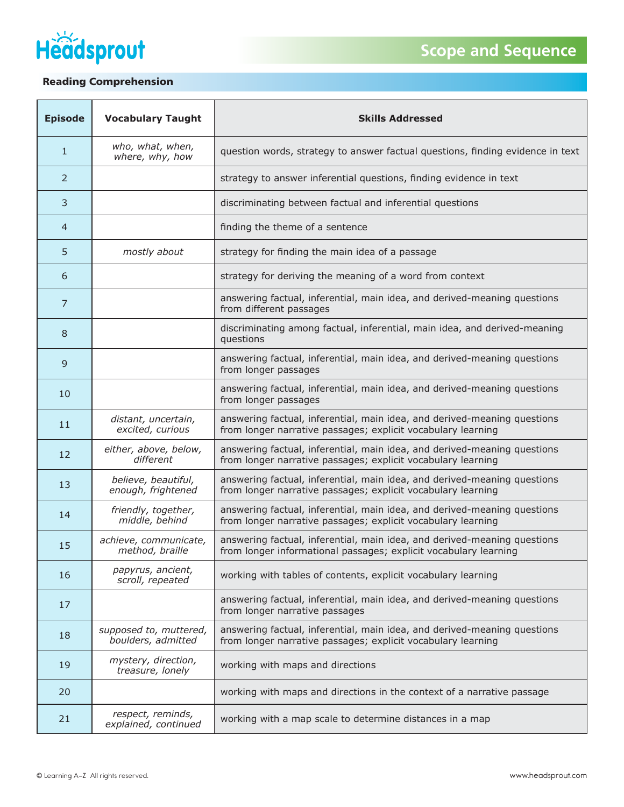



## Reading Comprehension

| <b>Episode</b> | <b>Vocabulary Taught</b>                     | <b>Skills Addressed</b>                                                                                                                      |
|----------------|----------------------------------------------|----------------------------------------------------------------------------------------------------------------------------------------------|
| $\mathbf{1}$   | who, what, when,<br>where, why, how          | question words, strategy to answer factual questions, finding evidence in text                                                               |
| 2              |                                              | strategy to answer inferential questions, finding evidence in text                                                                           |
| 3              |                                              | discriminating between factual and inferential questions                                                                                     |
| 4              |                                              | finding the theme of a sentence                                                                                                              |
| 5              | mostly about                                 | strategy for finding the main idea of a passage                                                                                              |
| 6              |                                              | strategy for deriving the meaning of a word from context                                                                                     |
| $\overline{7}$ |                                              | answering factual, inferential, main idea, and derived-meaning questions<br>from different passages                                          |
| 8              |                                              | discriminating among factual, inferential, main idea, and derived-meaning<br>questions                                                       |
| 9              |                                              | answering factual, inferential, main idea, and derived-meaning questions<br>from longer passages                                             |
| 10             |                                              | answering factual, inferential, main idea, and derived-meaning questions<br>from longer passages                                             |
| 11             | distant, uncertain,<br>excited, curious      | answering factual, inferential, main idea, and derived-meaning questions<br>from longer narrative passages; explicit vocabulary learning     |
| 12             | either, above, below,<br>different           | answering factual, inferential, main idea, and derived-meaning questions<br>from longer narrative passages; explicit vocabulary learning     |
| 13             | believe, beautiful,<br>enough, frightened    | answering factual, inferential, main idea, and derived-meaning questions<br>from longer narrative passages; explicit vocabulary learning     |
| 14             | friendly, together,<br>middle, behind        | answering factual, inferential, main idea, and derived-meaning questions<br>from longer narrative passages; explicit vocabulary learning     |
| 15             | achieve, communicate,<br>method, braille     | answering factual, inferential, main idea, and derived-meaning questions<br>from longer informational passages; explicit vocabulary learning |
| 16             | papyrus, ancient,<br>scroll, repeated        | working with tables of contents, explicit vocabulary learning                                                                                |
| 17             |                                              | answering factual, inferential, main idea, and derived-meaning questions<br>from longer narrative passages                                   |
| 18             | supposed to, muttered,<br>boulders, admitted | answering factual, inferential, main idea, and derived-meaning questions<br>from longer narrative passages; explicit vocabulary learning     |
| 19             | mystery, direction,<br>treasure, lonely      | working with maps and directions                                                                                                             |
| 20             |                                              | working with maps and directions in the context of a narrative passage                                                                       |
| 21             | respect, reminds,<br>explained, continued    | working with a map scale to determine distances in a map                                                                                     |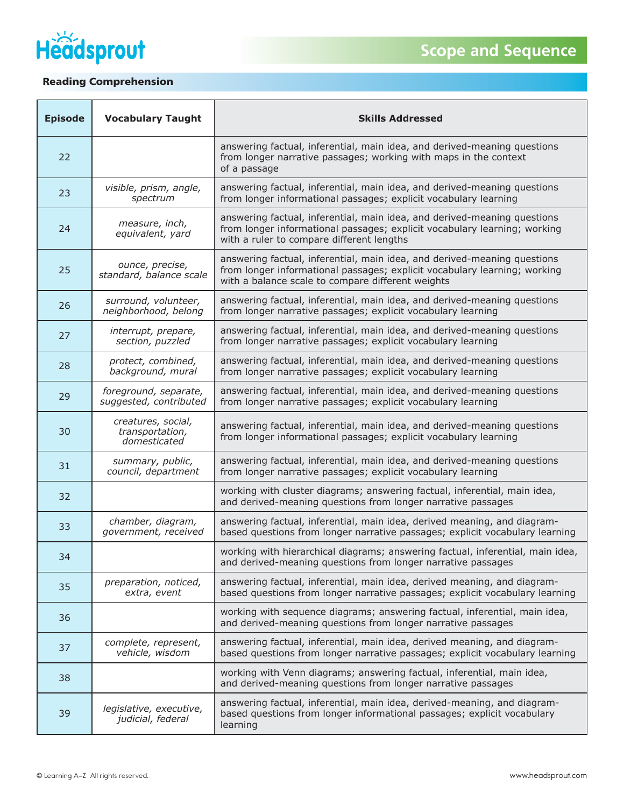



## Reading Comprehension

| <b>Episode</b> | <b>Vocabulary Taught</b>                              | <b>Skills Addressed</b>                                                                                                                                                                                    |
|----------------|-------------------------------------------------------|------------------------------------------------------------------------------------------------------------------------------------------------------------------------------------------------------------|
| 22             |                                                       | answering factual, inferential, main idea, and derived-meaning questions<br>from longer narrative passages; working with maps in the context<br>of a passage                                               |
| 23             | visible, prism, angle,<br>spectrum                    | answering factual, inferential, main idea, and derived-meaning questions<br>from longer informational passages; explicit vocabulary learning                                                               |
| 24             | measure, inch,<br>equivalent, yard                    | answering factual, inferential, main idea, and derived-meaning questions<br>from longer informational passages; explicit vocabulary learning; working<br>with a ruler to compare different lengths         |
| 25             | ounce, precise,<br>standard, balance scale            | answering factual, inferential, main idea, and derived-meaning questions<br>from longer informational passages; explicit vocabulary learning; working<br>with a balance scale to compare different weights |
| 26             | surround, volunteer,<br>neighborhood, belong          | answering factual, inferential, main idea, and derived-meaning questions<br>from longer narrative passages; explicit vocabulary learning                                                                   |
| 27             | interrupt, prepare,<br>section, puzzled               | answering factual, inferential, main idea, and derived-meaning questions<br>from longer narrative passages; explicit vocabulary learning                                                                   |
| 28             | protect, combined,<br>background, mural               | answering factual, inferential, main idea, and derived-meaning questions<br>from longer narrative passages; explicit vocabulary learning                                                                   |
| 29             | foreground, separate,<br>suggested, contributed       | answering factual, inferential, main idea, and derived-meaning questions<br>from longer narrative passages; explicit vocabulary learning                                                                   |
| 30             | creatures, social,<br>transportation,<br>domesticated | answering factual, inferential, main idea, and derived-meaning questions<br>from longer informational passages; explicit vocabulary learning                                                               |
| 31             | summary, public,<br>council, department               | answering factual, inferential, main idea, and derived-meaning questions<br>from longer narrative passages; explicit vocabulary learning                                                                   |
| 32             |                                                       | working with cluster diagrams; answering factual, inferential, main idea,<br>and derived-meaning questions from longer narrative passages                                                                  |
| 33             | chamber, diagram,<br>government, received             | answering factual, inferential, main idea, derived meaning, and diagram-<br>based questions from longer narrative passages; explicit vocabulary learning                                                   |
| 34             |                                                       | working with hierarchical diagrams; answering factual, inferential, main idea,<br>and derived-meaning questions from longer narrative passages                                                             |
| 35             | preparation, noticed,<br>extra, event                 | answering factual, inferential, main idea, derived meaning, and diagram-<br>based questions from longer narrative passages; explicit vocabulary learning                                                   |
| 36             |                                                       | working with sequence diagrams; answering factual, inferential, main idea,<br>and derived-meaning questions from longer narrative passages                                                                 |
| 37             | complete, represent,<br>vehicle, wisdom               | answering factual, inferential, main idea, derived meaning, and diagram-<br>based questions from longer narrative passages; explicit vocabulary learning                                                   |
| 38             |                                                       | working with Venn diagrams; answering factual, inferential, main idea,<br>and derived-meaning questions from longer narrative passages                                                                     |
| 39             | legislative, executive,<br>judicial, federal          | answering factual, inferential, main idea, derived-meaning, and diagram-<br>based questions from longer informational passages; explicit vocabulary<br>learning                                            |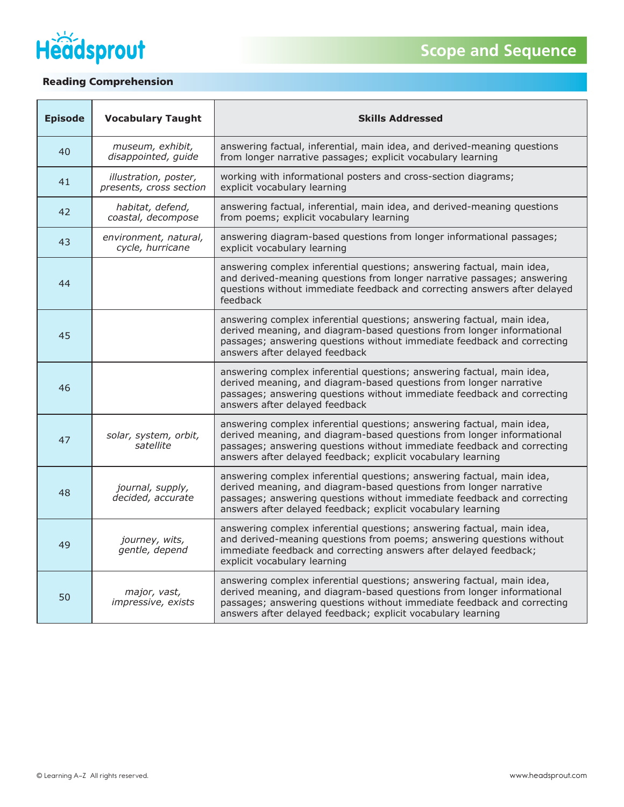



## Reading Comprehension

| <b>Episode</b> | <b>Vocabulary Taught</b>                         | <b>Skills Addressed</b>                                                                                                                                                                                                                                                                     |
|----------------|--------------------------------------------------|---------------------------------------------------------------------------------------------------------------------------------------------------------------------------------------------------------------------------------------------------------------------------------------------|
| 40             | museum, exhibit,<br>disappointed, guide          | answering factual, inferential, main idea, and derived-meaning questions<br>from longer narrative passages; explicit vocabulary learning                                                                                                                                                    |
| 41             | illustration, poster,<br>presents, cross section | working with informational posters and cross-section diagrams;<br>explicit vocabulary learning                                                                                                                                                                                              |
| 42             | habitat, defend,<br>coastal, decompose           | answering factual, inferential, main idea, and derived-meaning questions<br>from poems; explicit vocabulary learning                                                                                                                                                                        |
| 43             | environment, natural,<br>cycle, hurricane        | answering diagram-based questions from longer informational passages;<br>explicit vocabulary learning                                                                                                                                                                                       |
| 44             |                                                  | answering complex inferential questions; answering factual, main idea,<br>and derived-meaning questions from longer narrative passages; answering<br>questions without immediate feedback and correcting answers after delayed<br>feedback                                                  |
| 45             |                                                  | answering complex inferential questions; answering factual, main idea,<br>derived meaning, and diagram-based questions from longer informational<br>passages; answering questions without immediate feedback and correcting<br>answers after delayed feedback                               |
| 46             |                                                  | answering complex inferential questions; answering factual, main idea,<br>derived meaning, and diagram-based questions from longer narrative<br>passages; answering questions without immediate feedback and correcting<br>answers after delayed feedback                                   |
| 47             | solar, system, orbit,<br>satellite               | answering complex inferential questions; answering factual, main idea,<br>derived meaning, and diagram-based questions from longer informational<br>passages; answering questions without immediate feedback and correcting<br>answers after delayed feedback; explicit vocabulary learning |
| 48             | journal, supply,<br>decided, accurate            | answering complex inferential questions; answering factual, main idea,<br>derived meaning, and diagram-based questions from longer narrative<br>passages; answering questions without immediate feedback and correcting<br>answers after delayed feedback; explicit vocabulary learning     |
| 49             | journey, wits,<br>gentle, depend                 | answering complex inferential questions; answering factual, main idea,<br>and derived-meaning questions from poems; answering questions without<br>immediate feedback and correcting answers after delayed feedback;<br>explicit vocabulary learning                                        |
| 50             | major, vast,<br>impressive, exists               | answering complex inferential questions; answering factual, main idea,<br>derived meaning, and diagram-based questions from longer informational<br>passages; answering questions without immediate feedback and correcting<br>answers after delayed feedback; explicit vocabulary learning |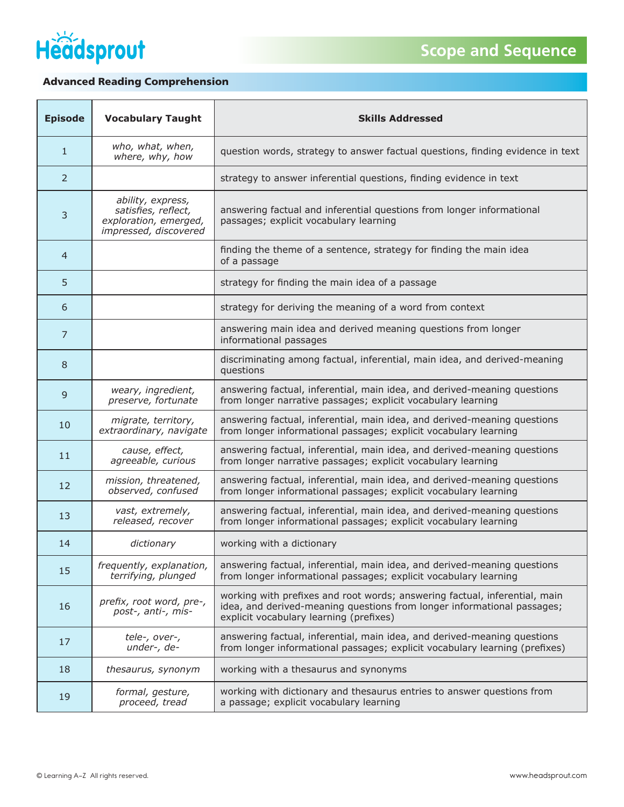

## Advanced Reading Comprehension

| <b>Episode</b> | <b>Vocabulary Taught</b>                                                                   | <b>Skills Addressed</b>                                                                                                                                                                          |
|----------------|--------------------------------------------------------------------------------------------|--------------------------------------------------------------------------------------------------------------------------------------------------------------------------------------------------|
| $\mathbf{1}$   | who, what, when,<br>where, why, how                                                        | question words, strategy to answer factual questions, finding evidence in text                                                                                                                   |
| 2              |                                                                                            | strategy to answer inferential questions, finding evidence in text                                                                                                                               |
| 3              | ability, express,<br>satisfies, reflect,<br>exploration, emerged,<br>impressed, discovered | answering factual and inferential questions from longer informational<br>passages; explicit vocabulary learning                                                                                  |
| $\overline{4}$ |                                                                                            | finding the theme of a sentence, strategy for finding the main idea<br>of a passage                                                                                                              |
| 5              |                                                                                            | strategy for finding the main idea of a passage                                                                                                                                                  |
| 6              |                                                                                            | strategy for deriving the meaning of a word from context                                                                                                                                         |
| $\overline{7}$ |                                                                                            | answering main idea and derived meaning questions from longer<br>informational passages                                                                                                          |
| 8              |                                                                                            | discriminating among factual, inferential, main idea, and derived-meaning<br>questions                                                                                                           |
| 9              | weary, ingredient,<br>preserve, fortunate                                                  | answering factual, inferential, main idea, and derived-meaning questions<br>from longer narrative passages; explicit vocabulary learning                                                         |
| 10             | migrate, territory,<br>extraordinary, navigate                                             | answering factual, inferential, main idea, and derived-meaning questions<br>from longer informational passages; explicit vocabulary learning                                                     |
| 11             | cause, effect,<br>agreeable, curious                                                       | answering factual, inferential, main idea, and derived-meaning questions<br>from longer narrative passages; explicit vocabulary learning                                                         |
| 12             | mission, threatened,<br>observed, confused                                                 | answering factual, inferential, main idea, and derived-meaning questions<br>from longer informational passages; explicit vocabulary learning                                                     |
| 13             | vast, extremely,<br>released, recover                                                      | answering factual, inferential, main idea, and derived-meaning questions<br>from longer informational passages; explicit vocabulary learning                                                     |
| 14             | dictionary                                                                                 | working with a dictionary                                                                                                                                                                        |
| 15             | frequently, explanation,<br>terrifying, plunged                                            | answering factual, inferential, main idea, and derived-meaning questions<br>from longer informational passages; explicit vocabulary learning                                                     |
| 16             | prefix, root word, pre-,<br>post-, anti-, mis-                                             | working with prefixes and root words; answering factual, inferential, main<br>idea, and derived-meaning questions from longer informational passages;<br>explicit vocabulary learning (prefixes) |
| 17             | tele-, over-,<br>under-, de-                                                               | answering factual, inferential, main idea, and derived-meaning questions<br>from longer informational passages; explicit vocabulary learning (prefixes)                                          |
| 18             | thesaurus, synonym                                                                         | working with a thesaurus and synonyms                                                                                                                                                            |
| 19             | formal, gesture,<br>proceed, tread                                                         | working with dictionary and thesaurus entries to answer questions from<br>a passage; explicit vocabulary learning                                                                                |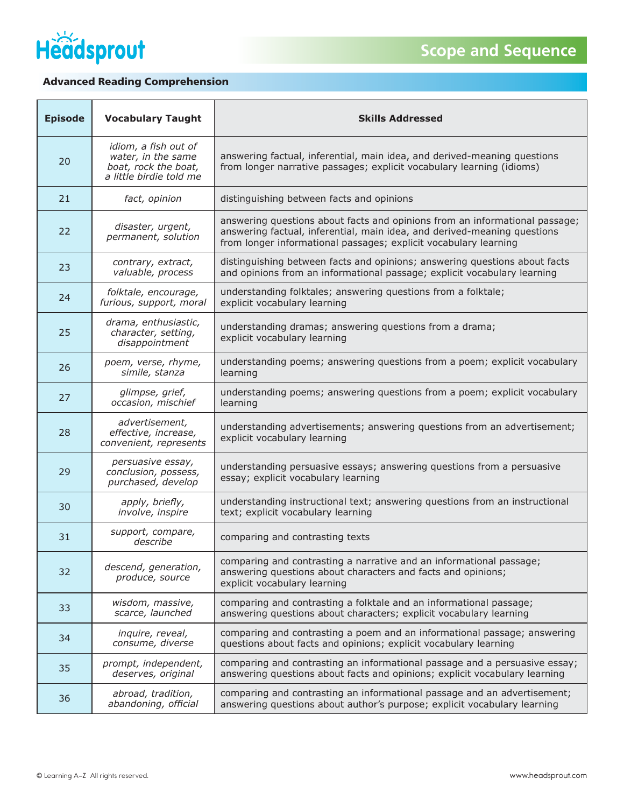

## Advanced Reading Comprehension

| <b>Episode</b> | <b>Vocabulary Taught</b>                                                                      | <b>Skills Addressed</b>                                                                                                                                                                                                     |
|----------------|-----------------------------------------------------------------------------------------------|-----------------------------------------------------------------------------------------------------------------------------------------------------------------------------------------------------------------------------|
| 20             | idiom, a fish out of<br>water, in the same<br>boat, rock the boat,<br>a little birdie told me | answering factual, inferential, main idea, and derived-meaning questions<br>from longer narrative passages; explicit vocabulary learning (idioms)                                                                           |
| 21             | fact, opinion                                                                                 | distinguishing between facts and opinions                                                                                                                                                                                   |
| 22             | disaster, urgent,<br>permanent, solution                                                      | answering questions about facts and opinions from an informational passage;<br>answering factual, inferential, main idea, and derived-meaning questions<br>from longer informational passages; explicit vocabulary learning |
| 23             | contrary, extract,<br>valuable, process                                                       | distinguishing between facts and opinions; answering questions about facts<br>and opinions from an informational passage; explicit vocabulary learning                                                                      |
| 24             | folktale, encourage,<br>furious, support, moral                                               | understanding folktales; answering questions from a folktale;<br>explicit vocabulary learning                                                                                                                               |
| 25             | drama, enthusiastic,<br>character, setting,<br>disappointment                                 | understanding dramas; answering questions from a drama;<br>explicit vocabulary learning                                                                                                                                     |
| 26             | poem, verse, rhyme,<br>simile, stanza                                                         | understanding poems; answering questions from a poem; explicit vocabulary<br>learning                                                                                                                                       |
| 27             | glimpse, grief,<br>occasion, mischief                                                         | understanding poems; answering questions from a poem; explicit vocabulary<br>learning                                                                                                                                       |
| 28             | advertisement,<br>effective, increase,<br>convenient, represents                              | understanding advertisements; answering questions from an advertisement;<br>explicit vocabulary learning                                                                                                                    |
| 29             | persuasive essay,<br>conclusion, possess,<br>purchased, develop                               | understanding persuasive essays; answering questions from a persuasive<br>essay; explicit vocabulary learning                                                                                                               |
| 30             | apply, briefly,<br>involve, inspire                                                           | understanding instructional text; answering questions from an instructional<br>text; explicit vocabulary learning                                                                                                           |
| 31             | support, compare,<br>describe                                                                 | comparing and contrasting texts                                                                                                                                                                                             |
| 32             | descend, generation,<br>produce, source                                                       | comparing and contrasting a narrative and an informational passage;<br>answering questions about characters and facts and opinions;<br>explicit vocabulary learning                                                         |
| 33             | wisdom, massive,<br>scarce, launched                                                          | comparing and contrasting a folktale and an informational passage;<br>answering questions about characters; explicit vocabulary learning                                                                                    |
| 34             | inquire, reveal,<br>consume, diverse                                                          | comparing and contrasting a poem and an informational passage; answering<br>questions about facts and opinions; explicit vocabulary learning                                                                                |
| 35             | prompt, independent,<br>deserves, original                                                    | comparing and contrasting an informational passage and a persuasive essay;<br>answering questions about facts and opinions; explicit vocabulary learning                                                                    |
| 36             | abroad, tradition,<br>abandoning, official                                                    | comparing and contrasting an informational passage and an advertisement;<br>answering questions about author's purpose; explicit vocabulary learning                                                                        |